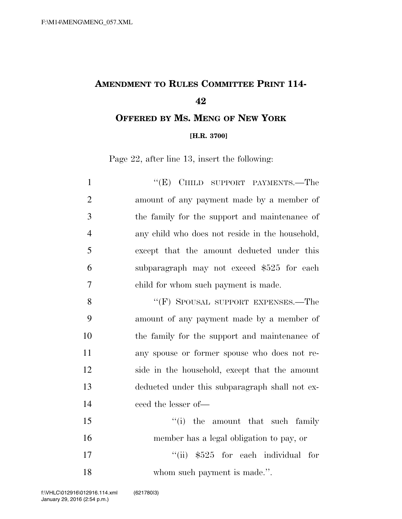## **AMENDMENT TO RULES COMMITTEE PRINT 114-**

**OFFERED BY MS. MENG OF NEW YORK**

## **[H.R. 3700]**

Page 22, after line 13, insert the following:

| $\mathbf{1}$   | "(E) CHILD SUPPORT PAYMENTS.—The                |
|----------------|-------------------------------------------------|
| $\overline{2}$ | amount of any payment made by a member of       |
| 3              | the family for the support and maintenance of   |
| $\overline{4}$ | any child who does not reside in the household, |
| 5              | except that the amount deducted under this      |
| 6              | subparagraph may not exceed \$525 for each      |
| 7              | child for whom such payment is made.            |
| 8              | "(F) SPOUSAL SUPPORT EXPENSES.—The              |
| 9              | amount of any payment made by a member of       |
| 10             | the family for the support and maintenance of   |
| 11             | any spouse or former spouse who does not re-    |
| 12             | side in the household, except that the amount   |
| 13             | deducted under this subparagraph shall not ex-  |
| 14             | ceed the lesser of-                             |
| 15             | "(i) the amount that such family                |
| 16             | member has a legal obligation to pay, or        |
| 17             | "(ii) $$525$ for each individual for            |
| 18             | whom such payment is made.".                    |